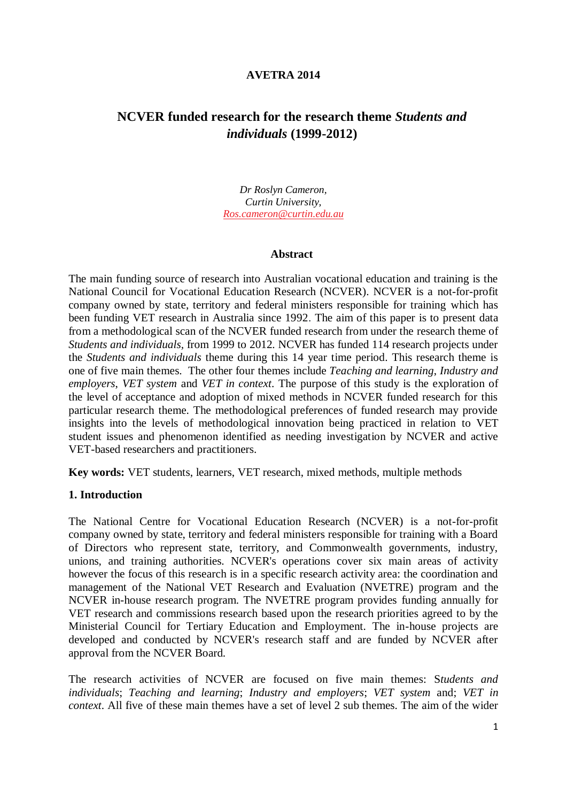#### **AVETRA 2014**

# **NCVER funded research for the research theme** *Students and individuals* **(1999-2012)**

*Dr Roslyn Cameron, Curtin University, [Ros.cameron@curtin.edu.au](mailto:Ros.cameron@curtin.edu.au)*

#### **Abstract**

The main funding source of research into Australian vocational education and training is the National Council for Vocational Education Research (NCVER). NCVER is a not-for-profit company owned by state, territory and federal ministers responsible for training which has been funding VET research in Australia since 1992. The aim of this paper is to present data from a methodological scan of the NCVER funded research from under the research theme of *Students and individuals,* from 1999 to 2012. NCVER has funded 114 research projects under the *Students and individuals* theme during this 14 year time period. This research theme is one of five main themes. The other four themes include *Teaching and learning*, *Industry and employers*, *VET system* and *VET in context*. The purpose of this study is the exploration of the level of acceptance and adoption of mixed methods in NCVER funded research for this particular research theme. The methodological preferences of funded research may provide insights into the levels of methodological innovation being practiced in relation to VET student issues and phenomenon identified as needing investigation by NCVER and active VET-based researchers and practitioners.

**Key words:** VET students, learners, VET research, mixed methods, multiple methods

#### **1. Introduction**

The National Centre for Vocational Education Research (NCVER) is a not-for-profit company owned by state, territory and federal ministers responsible for training with a Board of Directors who represent state, territory, and Commonwealth governments, industry, unions, and training authorities. NCVER's operations cover six main areas of activity however the focus of this research is in a specific research activity area: the coordination and management of the National VET Research and Evaluation (NVETRE) program and the NCVER in-house research program. The NVETRE program provides [funding](http://www.ncver.edu.au/research/funding.html) annually for VET research and commissions research based upon the [research priorities](http://www.ncver.edu.au/research/priorities.html) agreed to by the Ministerial Council for Tertiary Education and Employment. The in-house projects are developed and conducted by NCVER's research staff and are funded by NCVER after approval from the NCVER Board.

The research activities of NCVER are focused on five main themes: S*tudents and individuals*; *Teaching and learning*; *Industry and employers*; *VET system* and; *VET in context*. All five of these main themes have a set of level 2 sub themes. The aim of the wider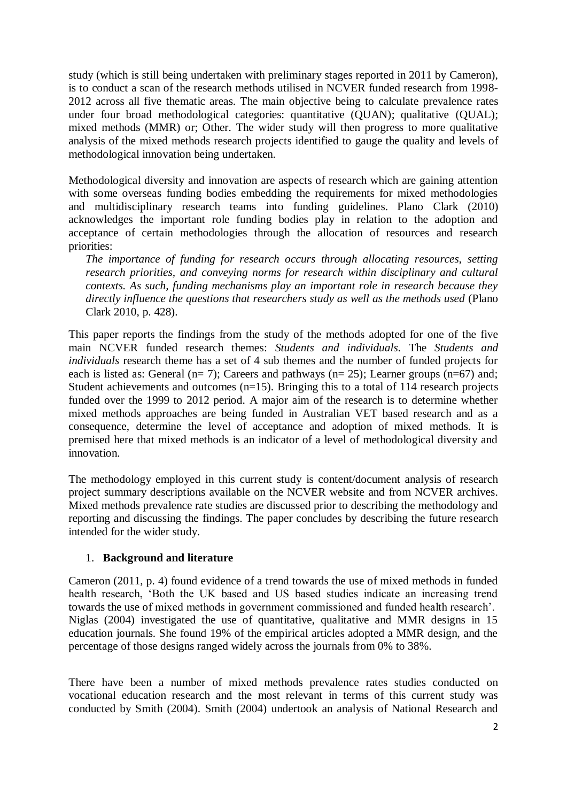study (which is still being undertaken with preliminary stages reported in 2011 by Cameron), is to conduct a scan of the research methods utilised in NCVER funded research from 1998- 2012 across all five thematic areas. The main objective being to calculate prevalence rates under four broad methodological categories: quantitative (QUAN); qualitative (QUAL); mixed methods (MMR) or; Other. The wider study will then progress to more qualitative analysis of the mixed methods research projects identified to gauge the quality and levels of methodological innovation being undertaken.

Methodological diversity and innovation are aspects of research which are gaining attention with some overseas funding bodies embedding the requirements for mixed methodologies and multidisciplinary research teams into funding guidelines. Plano Clark (2010) acknowledges the important role funding bodies play in relation to the adoption and acceptance of certain methodologies through the allocation of resources and research priorities:

*The importance of funding for research occurs through allocating resources, setting research priorities, and conveying norms for research within disciplinary and cultural contexts. As such, funding mechanisms play an important role in research because they directly influence the questions that researchers study as well as the methods used* (Plano Clark 2010, p. 428).

This paper reports the findings from the study of the methods adopted for one of the five main NCVER funded research themes: *Students and individuals*. The *Students and individuals* research theme has a set of 4 sub themes and the number of funded projects for each is listed as: General  $(n= 7)$ ; Careers and pathways  $(n= 25)$ ; Learner groups  $(n=67)$  and; Student achievements and outcomes (n=15). Bringing this to a total of 114 research projects funded over the 1999 to 2012 period. A major aim of the research is to determine whether mixed methods approaches are being funded in Australian VET based research and as a consequence, determine the level of acceptance and adoption of mixed methods. It is premised here that mixed methods is an indicator of a level of methodological diversity and innovation.

The methodology employed in this current study is content/document analysis of research project summary descriptions available on the NCVER website and from NCVER archives. Mixed methods prevalence rate studies are discussed prior to describing the methodology and reporting and discussing the findings. The paper concludes by describing the future research intended for the wider study.

# 1. **Background and literature**

Cameron (2011, p. 4) found evidence of a trend towards the use of mixed methods in funded health research, 'Both the UK based and US based studies indicate an increasing trend towards the use of mixed methods in government commissioned and funded health research'. Niglas (2004) investigated the use of quantitative, qualitative and MMR designs in 15 education journals. She found 19% of the empirical articles adopted a MMR design, and the percentage of those designs ranged widely across the journals from 0% to 38%.

There have been a number of mixed methods prevalence rates studies conducted on vocational education research and the most relevant in terms of this current study was conducted by Smith (2004). Smith (2004) undertook an analysis of National Research and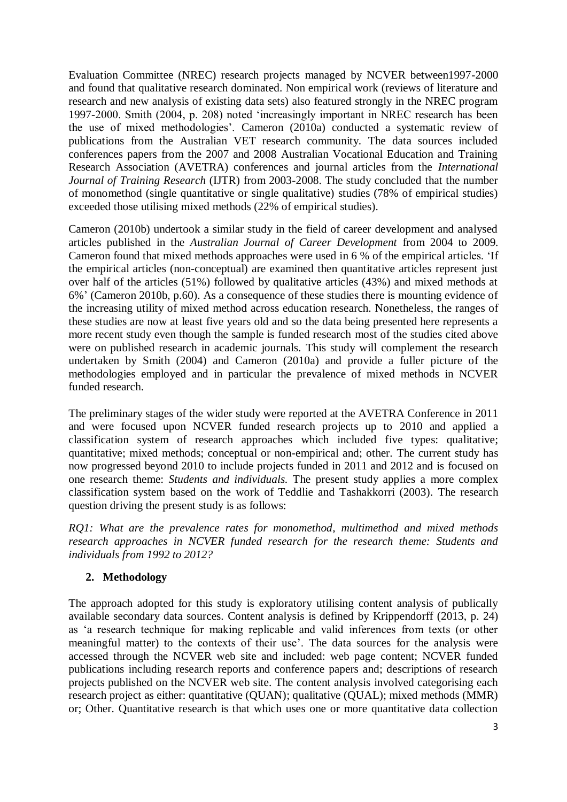Evaluation Committee (NREC) research projects managed by NCVER between1997-2000 and found that qualitative research dominated. Non empirical work (reviews of literature and research and new analysis of existing data sets) also featured strongly in the NREC program 1997-2000. Smith (2004, p. 208) noted 'increasingly important in NREC research has been the use of mixed methodologies'. Cameron (2010a) conducted a systematic review of publications from the Australian VET research community. The data sources included conferences papers from the 2007 and 2008 Australian Vocational Education and Training Research Association (AVETRA) conferences and journal articles from the *International Journal of Training Research* (IJTR) from 2003-2008. The study concluded that the number of monomethod (single quantitative or single qualitative) studies (78% of empirical studies) exceeded those utilising mixed methods (22% of empirical studies).

Cameron (2010b) undertook a similar study in the field of career development and analysed articles published in the *Australian Journal of Career Development* from 2004 to 2009. Cameron found that mixed methods approaches were used in 6 % of the empirical articles. 'If the empirical articles (non-conceptual) are examined then quantitative articles represent just over half of the articles (51%) followed by qualitative articles (43%) and mixed methods at 6%' (Cameron 2010b, p.60). As a consequence of these studies there is mounting evidence of the increasing utility of mixed method across education research. Nonetheless, the ranges of these studies are now at least five years old and so the data being presented here represents a more recent study even though the sample is funded research most of the studies cited above were on published research in academic journals. This study will complement the research undertaken by Smith (2004) and Cameron (2010a) and provide a fuller picture of the methodologies employed and in particular the prevalence of mixed methods in NCVER funded research.

The preliminary stages of the wider study were reported at the AVETRA Conference in 2011 and were focused upon NCVER funded research projects up to 2010 and applied a classification system of research approaches which included five types: qualitative; quantitative; mixed methods; conceptual or non-empirical and; other. The current study has now progressed beyond 2010 to include projects funded in 2011 and 2012 and is focused on one research theme: *Students and individuals.* The present study applies a more complex classification system based on the work of Teddlie and Tashakkorri (2003). The research question driving the present study is as follows:

*RQ1: What are the prevalence rates for monomethod, multimethod and mixed methods research approaches in NCVER funded research for the research theme: Students and individuals from 1992 to 2012?*

# **2. Methodology**

The approach adopted for this study is exploratory utilising content analysis of publically available secondary data sources. Content analysis is defined by Krippendorff (2013, p. 24) as 'a research technique for making replicable and valid inferences from texts (or other meaningful matter) to the contexts of their use'. The data sources for the analysis were accessed through the NCVER web site and included: web page content; NCVER funded publications including research reports and conference papers and; descriptions of research projects published on the NCVER web site. The content analysis involved categorising each research project as either: quantitative (QUAN); qualitative (QUAL); mixed methods (MMR) or; Other. Quantitative research is that which uses one or more quantitative data collection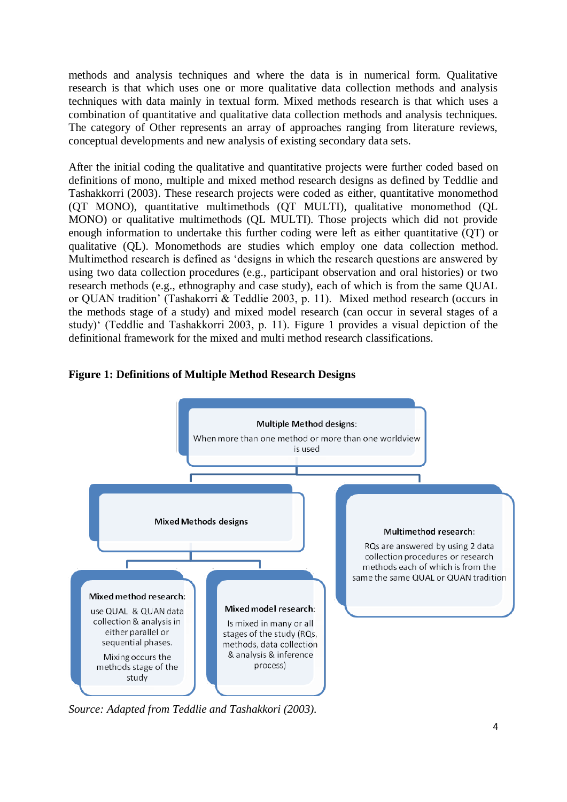methods and analysis techniques and where the data is in numerical form. Qualitative research is that which uses one or more qualitative data collection methods and analysis techniques with data mainly in textual form. Mixed methods research is that which uses a combination of quantitative and qualitative data collection methods and analysis techniques. The category of Other represents an array of approaches ranging from literature reviews, conceptual developments and new analysis of existing secondary data sets.

After the initial coding the qualitative and quantitative projects were further coded based on definitions of mono, multiple and mixed method research designs as defined by Teddlie and Tashakkorri (2003). These research projects were coded as either, quantitative monomethod (QT MONO), quantitative multimethods (QT MULTI), qualitative monomethod (QL MONO) or qualitative multimethods (QL MULTI). Those projects which did not provide enough information to undertake this further coding were left as either quantitative (QT) or qualitative (QL). Monomethods are studies which employ one data collection method. Multimethod research is defined as 'designs in which the research questions are answered by using two data collection procedures (e.g., participant observation and oral histories) or two research methods (e.g., ethnography and case study), each of which is from the same QUAL or QUAN tradition' (Tashakorri & Teddlie 2003, p. 11). Mixed method research (occurs in the methods stage of a study) and mixed model research (can occur in several stages of a study)' (Teddlie and Tashakkorri 2003, p. 11). Figure 1 provides a visual depiction of the definitional framework for the mixed and multi method research classifications.



# **Figure 1: Definitions of Multiple Method Research Designs**

*Source: Adapted from Teddlie and Tashakkori (2003).*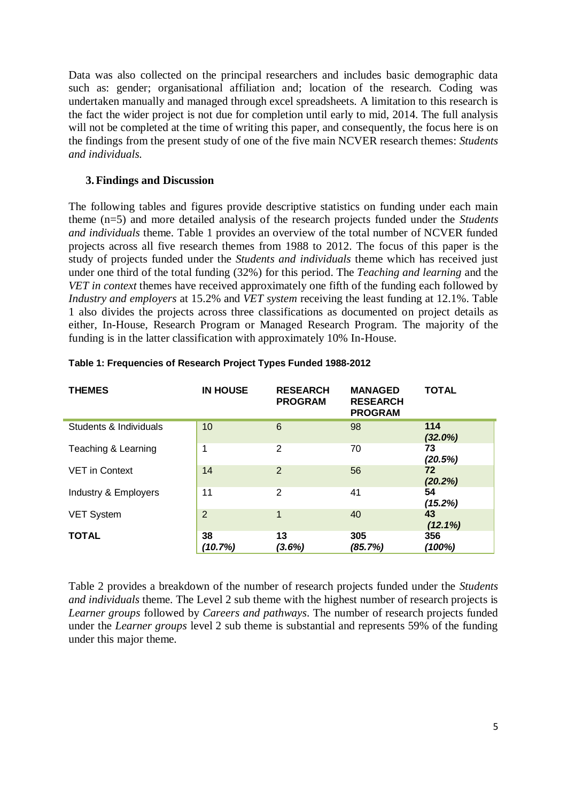Data was also collected on the principal researchers and includes basic demographic data such as: gender; organisational affiliation and; location of the research. Coding was undertaken manually and managed through excel spreadsheets. A limitation to this research is the fact the wider project is not due for completion until early to mid, 2014. The full analysis will not be completed at the time of writing this paper, and consequently, the focus here is on the findings from the present study of one of the five main NCVER research themes: *Students and individuals.*

#### **3.Findings and Discussion**

The following tables and figures provide descriptive statistics on funding under each main theme (n=5) and more detailed analysis of the research projects funded under the *Students and individuals* theme. Table 1 provides an overview of the total number of NCVER funded projects across all five research themes from 1988 to 2012. The focus of this paper is the study of projects funded under the *Students and individuals* theme which has received just under one third of the total funding (32%) for this period. The *Teaching and learning* and the *VET in context* themes have received approximately one fifth of the funding each followed by *Industry and employers* at 15.2% and *VET system* receiving the least funding at 12.1%. Table 1 also divides the projects across three classifications as documented on project details as either, In-House, Research Program or Managed Research Program. The majority of the funding is in the latter classification with approximately 10% In-House.

| <b>THEMES</b>          | <b>IN HOUSE</b> | <b>RESEARCH</b><br><b>PROGRAM</b> | <b>MANAGED</b><br><b>RESEARCH</b><br><b>PROGRAM</b> | <b>TOTAL</b>      |
|------------------------|-----------------|-----------------------------------|-----------------------------------------------------|-------------------|
| Students & Individuals | 10              | 6                                 | 98                                                  | 114<br>$(32.0\%)$ |
| Teaching & Learning    | 1               | 2                                 | 70                                                  | 73<br>(20.5%)     |
| <b>VET</b> in Context  | 14              | $\overline{2}$                    | 56                                                  | 72<br>(20.2%)     |
| Industry & Employers   | 11              | 2                                 | 41                                                  | 54<br>(15.2%)     |
| <b>VET System</b>      | 2               | 1                                 | 40                                                  | 43<br>$(12.1\%)$  |
| <b>TOTAL</b>           | 38<br>(10.7%)   | 13<br>(3.6%)                      | 305<br>(85.7%)                                      | 356<br>(100%)     |

#### **Table 1: Frequencies of Research Project Types Funded 1988-2012**

Table 2 provides a breakdown of the number of research projects funded under the *Students and individuals* theme. The Level 2 sub theme with the highest number of research projects is *Learner groups* followed by *Careers and pathways*. The number of research projects funded under the *Learner groups* level 2 sub theme is substantial and represents 59% of the funding under this major theme.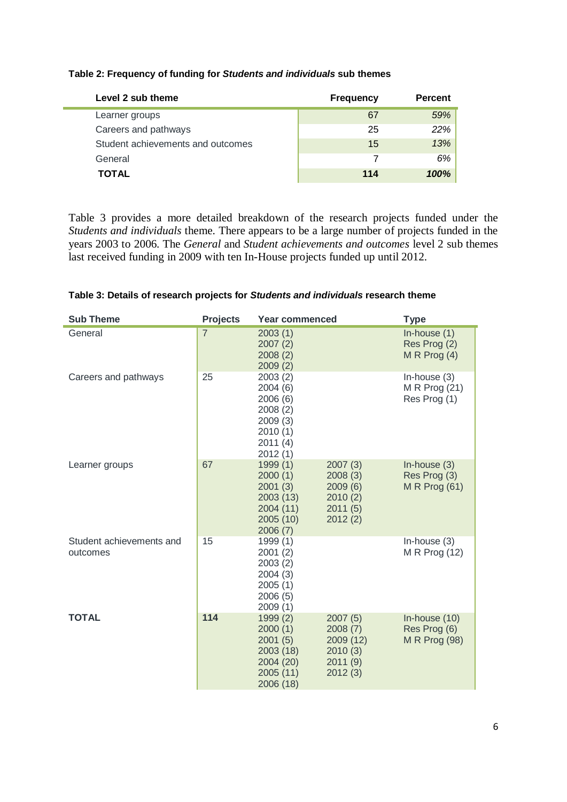| Level 2 sub theme                 | <b>Frequency</b> | <b>Percent</b> |
|-----------------------------------|------------------|----------------|
| Learner groups                    | 67               | 59%            |
| Careers and pathways              | 25               | 22%            |
| Student achievements and outcomes | 15               | 13%            |
| General                           |                  | 6%             |
| <b>TOTAL</b>                      | 114              | 100%           |

#### **Table 2: Frequency of funding for** *Students and individuals* **sub themes**

Table 3 provides a more detailed breakdown of the research projects funded under the *Students and individuals* theme. There appears to be a large number of projects funded in the years 2003 to 2006. The *General* and *Student achievements and outcomes* level 2 sub themes last received funding in 2009 with ten In-House projects funded up until 2012.

| <b>Sub Theme</b>                     | <b>Projects</b> | <b>Year commenced</b>                                                                |                                                                  | <b>Type</b>                                             |
|--------------------------------------|-----------------|--------------------------------------------------------------------------------------|------------------------------------------------------------------|---------------------------------------------------------|
| General                              | $\overline{7}$  | 2003(1)<br>2007(2)<br>2008(2)<br>2009(2)                                             |                                                                  | In-house $(1)$<br>Res Prog (2)<br>M R Prog $(4)$        |
| Careers and pathways                 | 25              | 2003(2)<br>2004(6)<br>2006(6)<br>2008(2)<br>2009(3)<br>2010(1)<br>2011(4)<br>2012(1) |                                                                  | In-house (3)<br>M R Prog (21)<br>Res Prog (1)           |
| Learner groups                       | 67              | 1999(1)<br>2000(1)<br>2001(3)<br>2003(13)<br>2004 (11)<br>2005(10)<br>2006(7)        | 2007(3)<br>2008(3)<br>2009(6)<br>2010(2)<br>2011(5)<br>2012(2)   | In-house $(3)$<br>Res Prog (3)<br>M R Prog $(61)$       |
| Student achievements and<br>outcomes | 15              | 1999(1)<br>2001(2)<br>2003(2)<br>2004(3)<br>2005(1)<br>2006 (5)<br>2009(1)           |                                                                  | In-house $(3)$<br>M R Prog (12)                         |
| <b>TOTAL</b>                         | 114             | 1999(2)<br>2000(1)<br>2001(5)<br>2003 (18)<br>2004 (20)<br>2005 (11)<br>2006 (18)    | 2007(5)<br>2008(7)<br>2009 (12)<br>2010(3)<br>2011(9)<br>2012(3) | In-house $(10)$<br>Res Prog (6)<br><b>M R Prog (98)</b> |

#### **Table 3: Details of research projects for** *Students and individuals* **research theme**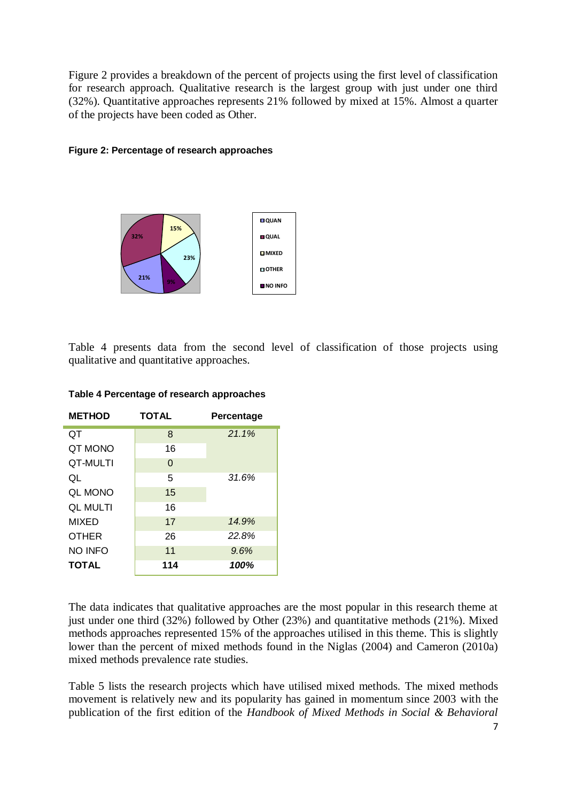Figure 2 provides a breakdown of the percent of projects using the first level of classification for research approach. Qualitative research is the largest group with just under one third (32%). Quantitative approaches represents 21% followed by mixed at 15%. Almost a quarter of the projects have been coded as Other.

#### **Figure 2: Percentage of research approaches**



Table 4 presents data from the second level of classification of those projects using qualitative and quantitative approaches.

| <b>METHOD</b>   | <b>TOTAL</b> | Percentage |  |  |
|-----------------|--------------|------------|--|--|
| QT              | 8            | 21.1%      |  |  |
| QT MONO         | 16           |            |  |  |
| QT-MULTI        | 0            |            |  |  |
| QL              | 5            | 31.6%      |  |  |
| <b>QL MONO</b>  | 15           |            |  |  |
| <b>QL MULTI</b> | 16           |            |  |  |
| <b>MIXED</b>    | 17           | 14.9%      |  |  |
| <b>OTHER</b>    | 26           | 22.8%      |  |  |
| <b>NO INFO</b>  | 11           | 9.6%       |  |  |
| <b>TOTAL</b>    | 114          | 100%       |  |  |

**Table 4 Percentage of research approaches**

The data indicates that qualitative approaches are the most popular in this research theme at just under one third (32%) followed by Other (23%) and quantitative methods (21%). Mixed methods approaches represented 15% of the approaches utilised in this theme. This is slightly lower than the percent of mixed methods found in the Niglas (2004) and Cameron (2010a) mixed methods prevalence rate studies.

Table 5 lists the research projects which have utilised mixed methods. The mixed methods movement is relatively new and its popularity has gained in momentum since 2003 with the publication of the first edition of the *Handbook of Mixed Methods in Social & Behavioral*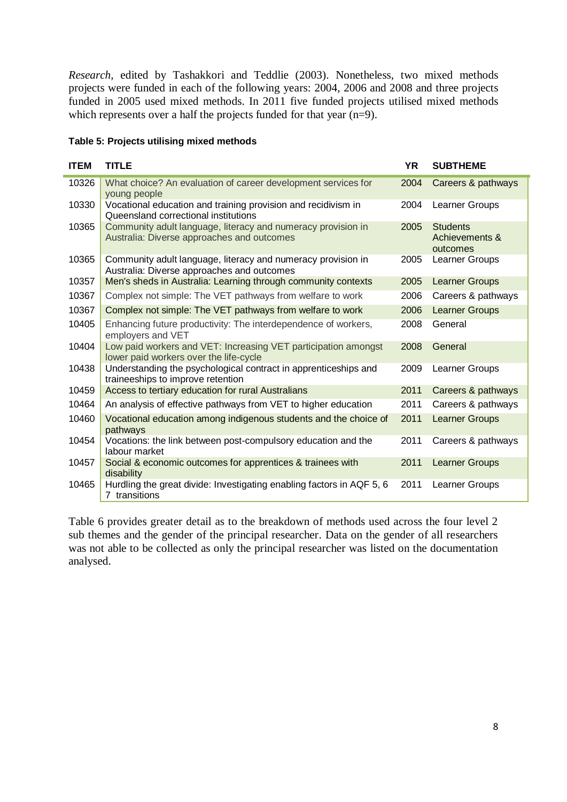*Research,* edited by Tashakkori and Teddlie (2003). Nonetheless, two mixed methods projects were funded in each of the following years: 2004, 2006 and 2008 and three projects funded in 2005 used mixed methods. In 2011 five funded projects utilised mixed methods which represents over a half the projects funded for that year (n=9).

#### **Table 5: Projects utilising mixed methods**

| <b>ITEM</b> | <b>TITLE</b>                                                                                               | <b>YR</b> | <b>SUBTHEME</b>                               |
|-------------|------------------------------------------------------------------------------------------------------------|-----------|-----------------------------------------------|
| 10326       | What choice? An evaluation of career development services for<br>young people                              | 2004      | Careers & pathways                            |
| 10330       | Vocational education and training provision and recidivism in<br>Queensland correctional institutions      | 2004      | Learner Groups                                |
| 10365       | Community adult language, literacy and numeracy provision in<br>Australia: Diverse approaches and outcomes | 2005      | <b>Students</b><br>Achievements &<br>outcomes |
| 10365       | Community adult language, literacy and numeracy provision in<br>Australia: Diverse approaches and outcomes | 2005      | Learner Groups                                |
| 10357       | Men's sheds in Australia: Learning through community contexts                                              | 2005      | <b>Learner Groups</b>                         |
| 10367       | Complex not simple: The VET pathways from welfare to work                                                  | 2006      | Careers & pathways                            |
| 10367       | Complex not simple: The VET pathways from welfare to work                                                  | 2006      | <b>Learner Groups</b>                         |
| 10405       | Enhancing future productivity: The interdependence of workers,<br>employers and VET                        | 2008      | General                                       |
| 10404       | Low paid workers and VET: Increasing VET participation amongst<br>lower paid workers over the life-cycle   | 2008      | General                                       |
| 10438       | Understanding the psychological contract in apprenticeships and<br>traineeships to improve retention       | 2009      | Learner Groups                                |
| 10459       | Access to tertiary education for rural Australians                                                         | 2011      | Careers & pathways                            |
| 10464       | An analysis of effective pathways from VET to higher education                                             | 2011      | Careers & pathways                            |
| 10460       | Vocational education among indigenous students and the choice of<br>pathways                               | 2011      | <b>Learner Groups</b>                         |
| 10454       | Vocations: the link between post-compulsory education and the<br>labour market                             | 2011      | Careers & pathways                            |
| 10457       | Social & economic outcomes for apprentices & trainees with<br>disability                                   | 2011      | <b>Learner Groups</b>                         |
| 10465       | Hurdling the great divide: Investigating enabling factors in AQF 5, 6<br>7 transitions                     | 2011      | Learner Groups                                |

Table 6 provides greater detail as to the breakdown of methods used across the four level 2 sub themes and the gender of the principal researcher. Data on the gender of all researchers was not able to be collected as only the principal researcher was listed on the documentation analysed.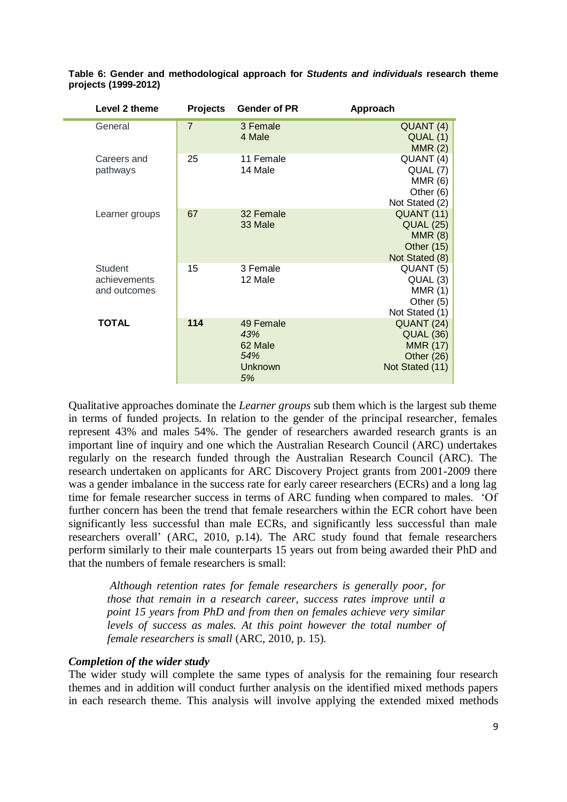| Level 2 theme                                  | <b>Projects</b> | <b>Gender of PR</b>                                        | Approach                                                                           |
|------------------------------------------------|-----------------|------------------------------------------------------------|------------------------------------------------------------------------------------|
| General                                        | $\overline{7}$  | 3 Female<br>4 Male                                         | QUANT (4)<br>QUAL (1)<br>MMR(2)                                                    |
| Careers and<br>pathways                        | 25              | 11 Female<br>14 Male                                       | QUANT (4)<br>QUAL (7)<br>MMR(6)<br>Other (6)<br>Not Stated (2)                     |
| Learner groups                                 | 67              | 32 Female<br>33 Male                                       | QUANT (11)<br><b>QUAL (25)</b><br>MMR(8)<br>Other $(15)$<br>Not Stated (8)         |
| <b>Student</b><br>achievements<br>and outcomes | 15              | 3 Female<br>12 Male                                        | QUANT <sub>(5)</sub><br>QUAL (3)<br>MMR(1)<br>Other (5)<br>Not Stated (1)          |
| <b>TOTAL</b>                                   | 114             | 49 Female<br>43%<br>62 Male<br>54%<br><b>Unknown</b><br>5% | QUANT (24)<br><b>QUAL (36)</b><br><b>MMR (17)</b><br>Other (26)<br>Not Stated (11) |

**Table 6: Gender and methodological approach for** *Students and individuals* **research theme projects (1999-2012)**

Qualitative approaches dominate the *Learner groups* sub them which is the largest sub theme in terms of funded projects. In relation to the gender of the principal researcher, females represent 43% and males 54%. The gender of researchers awarded research grants is an important line of inquiry and one which the Australian Research Council (ARC) undertakes regularly on the research funded through the Australian Research Council (ARC). The research undertaken on applicants for ARC Discovery Project grants from 2001-2009 there was a gender imbalance in the success rate for early career researchers (ECRs) and a long lag time for female researcher success in terms of ARC funding when compared to males. 'Of further concern has been the trend that female researchers within the ECR cohort have been significantly less successful than male ECRs, and significantly less successful than male researchers overall' (ARC, 2010, p.14). The ARC study found that female researchers perform similarly to their male counterparts 15 years out from being awarded their PhD and that the numbers of female researchers is small:

*Although retention rates for female researchers is generally poor, for those that remain in a research career, success rates improve until a point 15 years from PhD and from then on females achieve very similar levels of success as males. At this point however the total number of female researchers is small* (ARC, 2010, p. 15)*.*

#### *Completion of the wider study*

The wider study will complete the same types of analysis for the remaining four research themes and in addition will conduct further analysis on the identified mixed methods papers in each research theme. This analysis will involve applying the extended mixed methods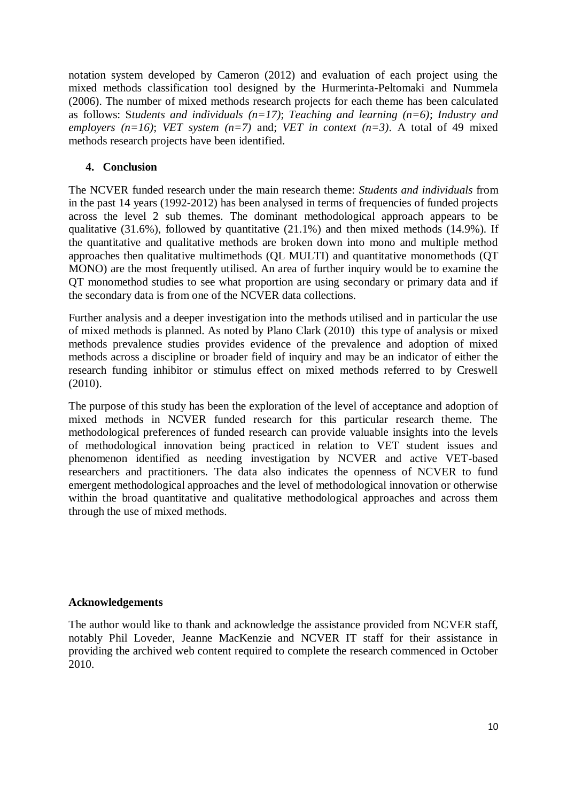notation system developed by Cameron (2012) and evaluation of each project using the mixed methods classification tool designed by the Hurmerinta-Peltomaki and Nummela (2006). The number of mixed methods research projects for each theme has been calculated as follows: S*tudents and individuals (n=17)*; *Teaching and learning (n=6)*; *Industry and employers (n=16)*; *VET system (n=7)* and; *VET in context (n=3)*. A total of 49 mixed methods research projects have been identified.

# **4. Conclusion**

The NCVER funded research under the main research theme: *Students and individuals* from in the past 14 years (1992-2012) has been analysed in terms of frequencies of funded projects across the level 2 sub themes. The dominant methodological approach appears to be qualitative  $(31.6\%)$ , followed by quantitative  $(21.1\%)$  and then mixed methods  $(14.9\%)$ . If the quantitative and qualitative methods are broken down into mono and multiple method approaches then qualitative multimethods (QL MULTI) and quantitative monomethods (QT MONO) are the most frequently utilised. An area of further inquiry would be to examine the QT monomethod studies to see what proportion are using secondary or primary data and if the secondary data is from one of the NCVER data collections.

Further analysis and a deeper investigation into the methods utilised and in particular the use of mixed methods is planned. As noted by Plano Clark (2010) this type of analysis or mixed methods prevalence studies provides evidence of the prevalence and adoption of mixed methods across a discipline or broader field of inquiry and may be an indicator of either the research funding inhibitor or stimulus effect on mixed methods referred to by Creswell (2010).

The purpose of this study has been the exploration of the level of acceptance and adoption of mixed methods in NCVER funded research for this particular research theme. The methodological preferences of funded research can provide valuable insights into the levels of methodological innovation being practiced in relation to VET student issues and phenomenon identified as needing investigation by NCVER and active VET-based researchers and practitioners. The data also indicates the openness of NCVER to fund emergent methodological approaches and the level of methodological innovation or otherwise within the broad quantitative and qualitative methodological approaches and across them through the use of mixed methods.

# **Acknowledgements**

The author would like to thank and acknowledge the assistance provided from NCVER staff, notably Phil Loveder, Jeanne MacKenzie and NCVER IT staff for their assistance in providing the archived web content required to complete the research commenced in October 2010.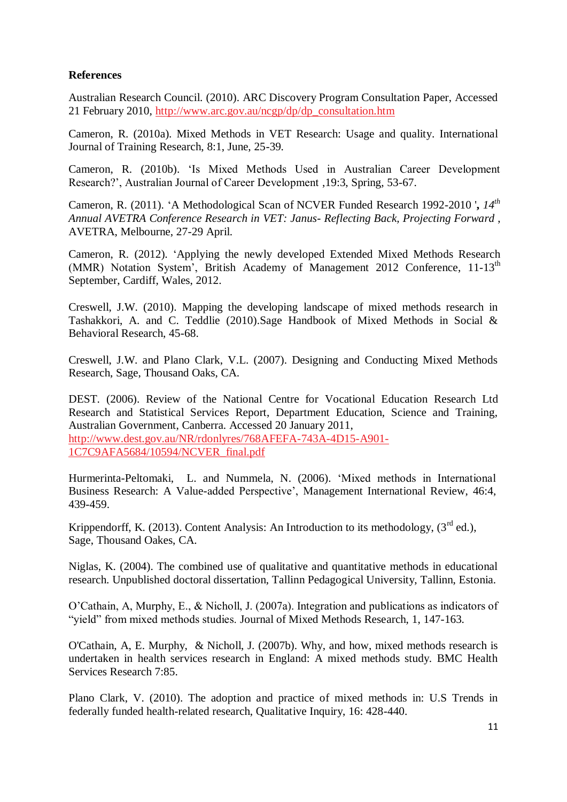### **References**

Australian Research Council. (2010). ARC Discovery Program Consultation Paper, Accessed 21 February 2010, [http://www.arc.gov.au/ncgp/dp/dp\\_consultation.htm](http://www.arc.gov.au/ncgp/dp/dp_consultation.htm)

Cameron, R. (2010a). Mixed Methods in VET Research: Usage and quality. International Journal of Training Research, 8:1, June, 25-39.

Cameron, R. (2010b). 'Is Mixed Methods Used in Australian Career Development Research?', Australian Journal of Career Development ,19:3, Spring, 53-67.

Cameron, R. (2011). 'A Methodological Scan of NCVER Funded Research 1992-2010 '**,** *14th Annual AVETRA Conference Research in VET: Janus- Reflecting Back, Projecting Forward* , AVETRA, Melbourne, 27-29 April.

Cameron, R. (2012). 'Applying the newly developed Extended Mixed Methods Research (MMR) Notation System', British Academy of Management 2012 Conference,  $11-13<sup>th</sup>$ September, Cardiff, Wales, 2012.

Creswell, J.W. (2010). Mapping the developing landscape of mixed methods research in Tashakkori, A. and C. Teddlie (2010).Sage Handbook of Mixed Methods in Social & Behavioral Research, 45-68.

Creswell, J.W. and Plano Clark, V.L. (2007). Designing and Conducting Mixed Methods Research, Sage, Thousand Oaks, CA.

DEST. (2006). Review of the National Centre for Vocational Education Research Ltd Research and Statistical Services Report, Department Education, Science and Training, Australian Government, Canberra. Accessed 20 January 2011, [http://www.dest.gov.au/NR/rdonlyres/768AFEFA-743A-4D15-A901-](http://www.dest.gov.au/NR/rdonlyres/768AFEFA-743A-4D15-A901-1C7C9AFA5684/10594/NCVER_final.pdf) [1C7C9AFA5684/10594/NCVER\\_final.pdf](http://www.dest.gov.au/NR/rdonlyres/768AFEFA-743A-4D15-A901-1C7C9AFA5684/10594/NCVER_final.pdf)

Hurmerinta-Peltomaki, L. and Nummela, N. (2006). 'Mixed methods in International Business Research: A Value-added Perspective', Management International Review, 46:4, 439-459.

Krippendorff, K. (2013). Content Analysis: An Introduction to its methodology,  $(3^{rd}$  ed.), Sage, Thousand Oakes, CA.

Niglas, K. (2004). The combined use of qualitative and quantitative methods in educational research. Unpublished doctoral dissertation, Tallinn Pedagogical University, Tallinn, Estonia.

O'Cathain, A, Murphy, E., & Nicholl, J. (2007a). Integration and publications as indicators of "yield" from mixed methods studies. Journal of Mixed Methods Research, 1, 147-163.

O'Cathain, A, E. Murphy, & Nicholl, J. (2007b). Why, and how, mixed methods research is undertaken in health services research in England: A mixed methods study. BMC Health Services Research 7:85.

Plano Clark, V. (2010). The adoption and practice of mixed methods in: U.S Trends in federally funded health-related research, Qualitative Inquiry, 16: 428-440.